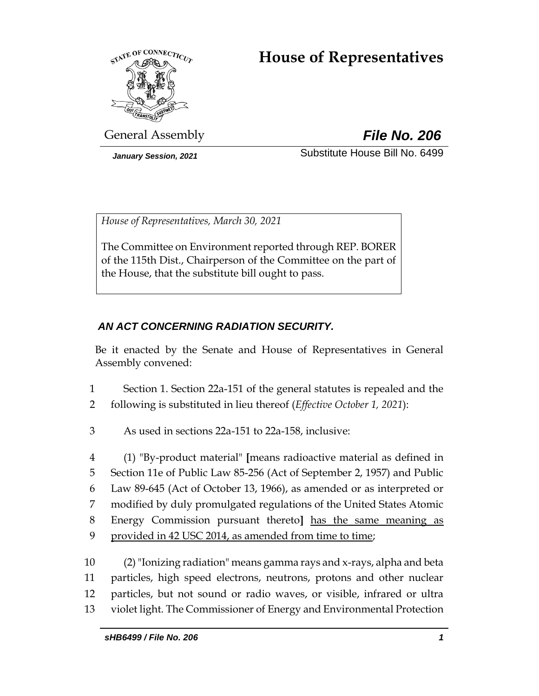# **House of Representatives**



General Assembly *File No. 206*

*January Session, 2021* Substitute House Bill No. 6499

*House of Representatives, March 30, 2021*

The Committee on Environment reported through REP. BORER of the 115th Dist., Chairperson of the Committee on the part of the House, that the substitute bill ought to pass.

# *AN ACT CONCERNING RADIATION SECURITY.*

Be it enacted by the Senate and House of Representatives in General Assembly convened:

- 1 Section 1. Section 22a-151 of the general statutes is repealed and the
- 2 following is substituted in lieu thereof (*Effective October 1, 2021*):
- 3 As used in sections 22a-151 to 22a-158, inclusive:

 (1) "By-product material" **[**means radioactive material as defined in Section 11e of Public Law 85-256 (Act of September 2, 1957) and Public Law 89-645 (Act of October 13, 1966), as amended or as interpreted or modified by duly promulgated regulations of the United States Atomic Energy Commission pursuant thereto**]** has the same meaning as provided in 42 USC 2014, as amended from time to time;

 (2)"Ionizing radiation" means gamma rays and x-rays, alpha and beta particles, high speed electrons, neutrons, protons and other nuclear particles, but not sound or radio waves, or visible, infrared or ultra violet light. The Commissioner of Energy and Environmental Protection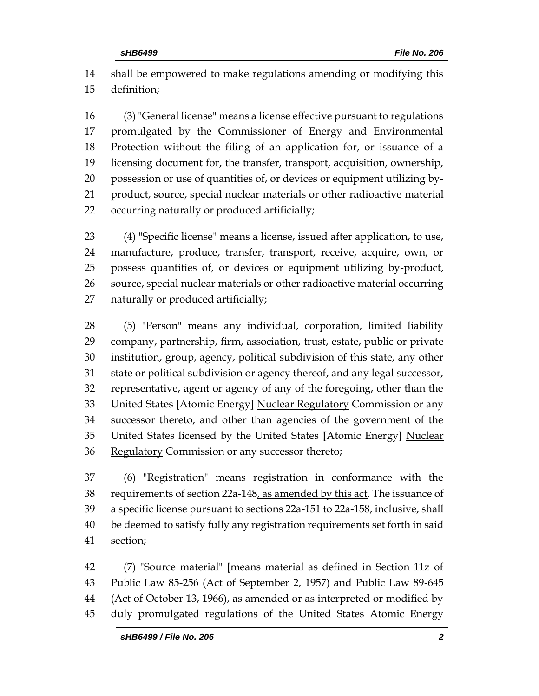shall be empowered to make regulations amending or modifying this definition;

 (3) "General license" means a license effective pursuant to regulations promulgated by the Commissioner of Energy and Environmental Protection without the filing of an application for, or issuance of a licensing document for, the transfer, transport, acquisition, ownership, possession or use of quantities of, or devices or equipment utilizing by- product, source, special nuclear materials or other radioactive material occurring naturally or produced artificially;

 (4) "Specific license" means a license, issued after application, to use, manufacture, produce, transfer, transport, receive, acquire, own, or possess quantities of, or devices or equipment utilizing by-product, source, special nuclear materials or other radioactive material occurring naturally or produced artificially;

 (5) "Person" means any individual, corporation, limited liability company, partnership, firm, association, trust, estate, public or private institution, group, agency, political subdivision of this state, any other state or political subdivision or agency thereof, and any legal successor, representative, agent or agency of any of the foregoing, other than the United States **[**Atomic Energy**]** Nuclear Regulatory Commission or any successor thereto, and other than agencies of the government of the United States licensed by the United States **[**Atomic Energy**]** Nuclear 36 Regulatory Commission or any successor thereto;

 (6) "Registration" means registration in conformance with the 38 requirements of section 22a-148, as amended by this act. The issuance of a specific license pursuant to sections 22a-151 to 22a-158, inclusive, shall be deemed to satisfy fully any registration requirements set forth in said section;

 (7) "Source material" **[**means material as defined in Section 11z of Public Law 85-256 (Act of September 2, 1957) and Public Law 89-645 (Act of October 13, 1966), as amended or as interpreted or modified by duly promulgated regulations of the United States Atomic Energy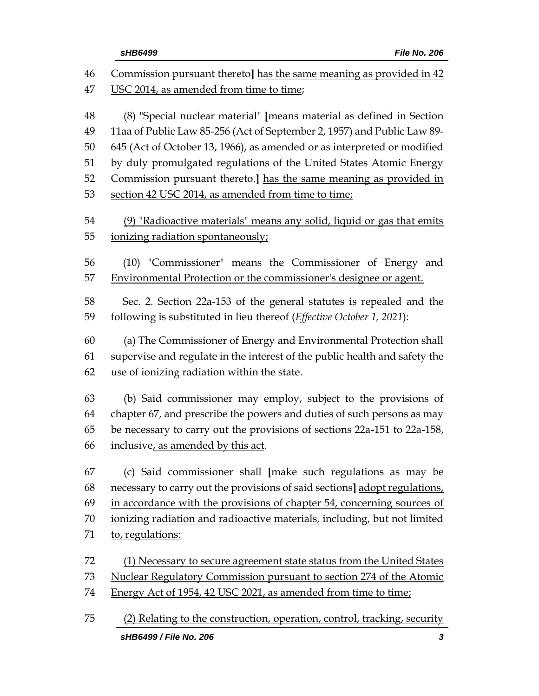|          | sHB6499<br>File No. 206                                                                                        |  |  |  |  |
|----------|----------------------------------------------------------------------------------------------------------------|--|--|--|--|
| 46<br>47 | Commission pursuant thereto] has the same meaning as provided in 42<br>USC 2014, as amended from time to time; |  |  |  |  |
|          |                                                                                                                |  |  |  |  |
| 48       | (8) "Special nuclear material" [means material as defined in Section                                           |  |  |  |  |
| 49       | 11aa of Public Law 85-256 (Act of September 2, 1957) and Public Law 89-                                        |  |  |  |  |
| 50       | 645 (Act of October 13, 1966), as amended or as interpreted or modified                                        |  |  |  |  |
| 51       | by duly promulgated regulations of the United States Atomic Energy                                             |  |  |  |  |
| 52       | Commission pursuant thereto.] has the same meaning as provided in                                              |  |  |  |  |
| 53       | section 42 USC 2014, as amended from time to time;                                                             |  |  |  |  |
| 54       | (9) "Radioactive materials" means any solid, liquid or gas that emits                                          |  |  |  |  |
| 55       | ionizing radiation spontaneously;                                                                              |  |  |  |  |
| 56       | (10) "Commissioner" means the Commissioner of Energy and                                                       |  |  |  |  |
| 57       | Environmental Protection or the commissioner's designee or agent.                                              |  |  |  |  |
| 58       | Sec. 2. Section 22a-153 of the general statutes is repealed and the                                            |  |  |  |  |
| 59       | following is substituted in lieu thereof (Effective October 1, 2021):                                          |  |  |  |  |
| 60       | (a) The Commissioner of Energy and Environmental Protection shall                                              |  |  |  |  |
| 61       | supervise and regulate in the interest of the public health and safety the                                     |  |  |  |  |
| 62       | use of ionizing radiation within the state.                                                                    |  |  |  |  |
| 63       | (b) Said commissioner may employ, subject to the provisions of                                                 |  |  |  |  |
| 64       | chapter 67, and prescribe the powers and duties of such persons as may                                         |  |  |  |  |
| 65       | be necessary to carry out the provisions of sections 22a-151 to 22a-158,                                       |  |  |  |  |
| 66       | inclusive, as amended by this act.                                                                             |  |  |  |  |
| 67       | (c) Said commissioner shall [make such regulations as may be                                                   |  |  |  |  |
| 68       | necessary to carry out the provisions of said sections] adopt regulations,                                     |  |  |  |  |
| 69       | in accordance with the provisions of chapter 54, concerning sources of                                         |  |  |  |  |
| 70       | ionizing radiation and radioactive materials, including, but not limited                                       |  |  |  |  |
| 71       | to, regulations:                                                                                               |  |  |  |  |
| 72       | (1) Necessary to secure agreement state status from the United States                                          |  |  |  |  |
| 73       | Nuclear Regulatory Commission pursuant to section 274 of the Atomic                                            |  |  |  |  |
| 74       | Energy Act of 1954, 42 USC 2021, as amended from time to time;                                                 |  |  |  |  |
| 75       | (2) Relating to the construction, operation, control, tracking, security                                       |  |  |  |  |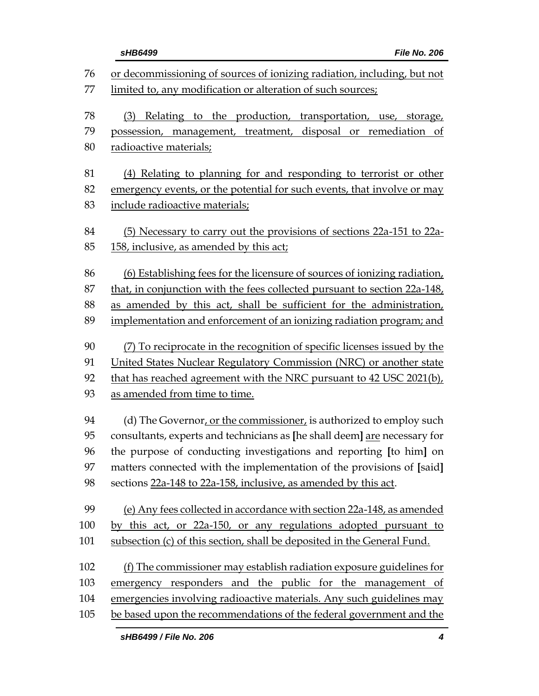|     | sHB6499<br>File No. 206                                                   |
|-----|---------------------------------------------------------------------------|
| 76  | or decommissioning of sources of ionizing radiation, including, but not   |
| 77  | limited to, any modification or alteration of such sources;               |
| 78  | (3) Relating to the production, transportation, use, storage,             |
| 79  | disposal or remediation of<br>possession, management, treatment,          |
| 80  | radioactive materials;                                                    |
| 81  | (4) Relating to planning for and responding to terrorist or other         |
| 82  | emergency events, or the potential for such events, that involve or may   |
| 83  | include radioactive materials;                                            |
| 84  | (5) Necessary to carry out the provisions of sections 22a-151 to 22a-     |
| 85  | 158, inclusive, as amended by this act;                                   |
| 86  | (6) Establishing fees for the licensure of sources of ionizing radiation, |
| 87  | that, in conjunction with the fees collected pursuant to section 22a-148, |
| 88  | as amended by this act, shall be sufficient for the administration,       |
| 89  | implementation and enforcement of an ionizing radiation program; and      |
| 90  | (7) To reciprocate in the recognition of specific licenses issued by the  |
| 91  | United States Nuclear Regulatory Commission (NRC) or another state        |
| 92  | that has reached agreement with the NRC pursuant to 42 USC 2021(b),       |
| 93  | as amended from time to time.                                             |
| 94  | (d) The Governor, or the commissioner, is authorized to employ such       |
| 95  | consultants, experts and technicians as [he shall deem] are necessary for |
| 96  | the purpose of conducting investigations and reporting [to him] on        |
| 97  | matters connected with the implementation of the provisions of [said]     |
| 98  | sections 22a-148 to 22a-158, inclusive, as amended by this act.           |
| 99  | (e) Any fees collected in accordance with section 22a-148, as amended     |
| 100 | by this act, or 22a-150, or any regulations adopted pursuant to           |
| 101 | subsection (c) of this section, shall be deposited in the General Fund.   |
| 102 | (f) The commissioner may establish radiation exposure guidelines for      |
| 103 | emergency responders and the public for the management of                 |
| 104 | emergencies involving radioactive materials. Any such guidelines may      |
| 105 | be based upon the recommendations of the federal government and the       |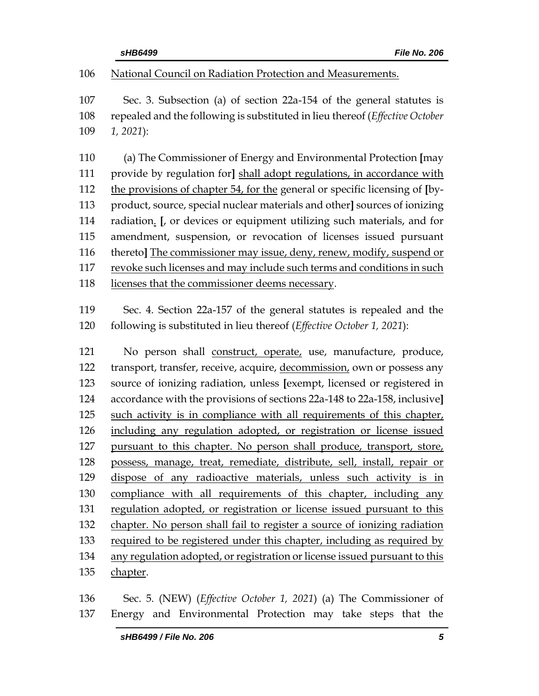| sHB6499 |
|---------|
|---------|

National Council on Radiation Protection and Measurements.

 Sec. 3. Subsection (a) of section 22a-154 of the general statutes is repealed and the following is substituted in lieu thereof (*Effective October 1, 2021*):

 (a) The Commissioner of Energy and Environmental Protection **[**may provide by regulation for**]** shall adopt regulations, in accordance with the provisions of chapter 54, for the general or specific licensing of **[**by- product, source, special nuclear materials and other**]** sources of ionizing radiation. **[**, or devices or equipment utilizing such materials, and for amendment, suspension, or revocation of licenses issued pursuant thereto**]** The commissioner may issue, deny, renew, modify, suspend or 117 revoke such licenses and may include such terms and conditions in such 118 licenses that the commissioner deems necessary.

 Sec. 4. Section 22a-157 of the general statutes is repealed and the following is substituted in lieu thereof (*Effective October 1, 2021*):

121 No person shall construct, operate, use, manufacture, produce, transport, transfer, receive, acquire, decommission, own or possess any source of ionizing radiation, unless **[**exempt, licensed or registered in accordance with the provisions of sections 22a-148 to 22a-158, inclusive**]** 125 such activity is in compliance with all requirements of this chapter, including any regulation adopted, or registration or license issued pursuant to this chapter. No person shall produce, transport, store, possess, manage, treat, remediate, distribute, sell, install, repair or dispose of any radioactive materials, unless such activity is in compliance with all requirements of this chapter, including any regulation adopted, or registration or license issued pursuant to this chapter. No person shall fail to register a source of ionizing radiation 133 required to be registered under this chapter, including as required by any regulation adopted, or registration or license issued pursuant to this chapter.

 Sec. 5. (NEW) (*Effective October 1, 2021*) (a) The Commissioner of Energy and Environmental Protection may take steps that the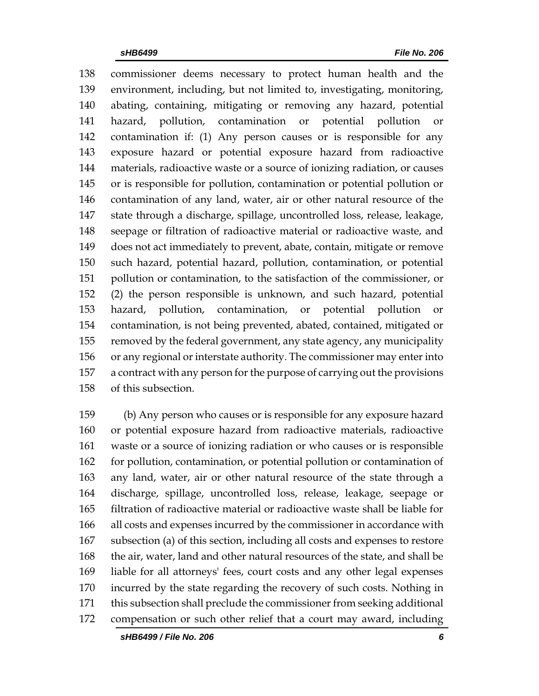commissioner deems necessary to protect human health and the environment, including, but not limited to, investigating, monitoring, abating, containing, mitigating or removing any hazard, potential hazard, pollution, contamination or potential pollution or contamination if: (1) Any person causes or is responsible for any exposure hazard or potential exposure hazard from radioactive materials, radioactive waste or a source of ionizing radiation, or causes or is responsible for pollution, contamination or potential pollution or contamination of any land, water, air or other natural resource of the state through a discharge, spillage, uncontrolled loss, release, leakage, seepage or filtration of radioactive material or radioactive waste, and does not act immediately to prevent, abate, contain, mitigate or remove such hazard, potential hazard, pollution, contamination, or potential pollution or contamination, to the satisfaction of the commissioner, or (2) the person responsible is unknown, and such hazard, potential hazard, pollution, contamination, or potential pollution or contamination, is not being prevented, abated, contained, mitigated or removed by the federal government, any state agency, any municipality or any regional or interstate authority. The commissioner may enter into a contract with any person for the purpose of carrying out the provisions of this subsection.

 (b) Any person who causes or is responsible for any exposure hazard or potential exposure hazard from radioactive materials, radioactive waste or a source of ionizing radiation or who causes or is responsible for pollution, contamination, or potential pollution or contamination of any land, water, air or other natural resource of the state through a discharge, spillage, uncontrolled loss, release, leakage, seepage or filtration of radioactive material or radioactive waste shall be liable for all costs and expenses incurred by the commissioner in accordance with subsection (a) of this section, including all costs and expenses to restore the air, water, land and other natural resources of the state, and shall be liable for all attorneys' fees, court costs and any other legal expenses incurred by the state regarding the recovery of such costs. Nothing in this subsection shall preclude the commissioner from seeking additional compensation or such other relief that a court may award, including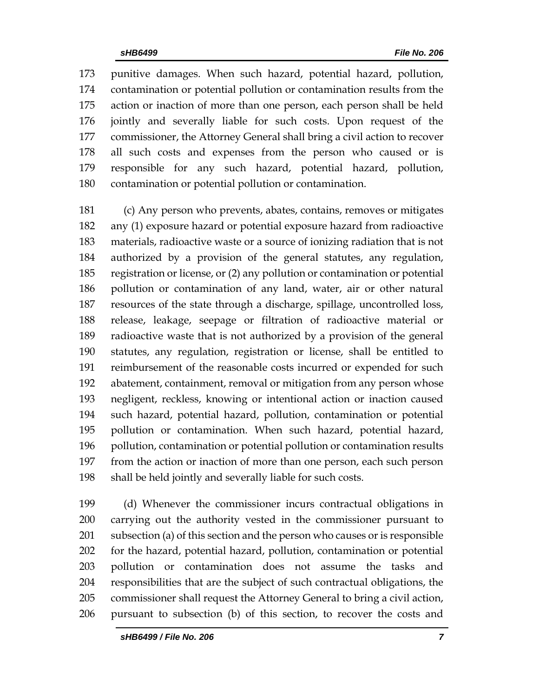punitive damages. When such hazard, potential hazard, pollution, contamination or potential pollution or contamination results from the action or inaction of more than one person, each person shall be held jointly and severally liable for such costs. Upon request of the commissioner, the Attorney General shall bring a civil action to recover all such costs and expenses from the person who caused or is responsible for any such hazard, potential hazard, pollution, contamination or potential pollution or contamination.

 (c) Any person who prevents, abates, contains, removes or mitigates any (1) exposure hazard or potential exposure hazard from radioactive materials, radioactive waste or a source of ionizing radiation that is not authorized by a provision of the general statutes, any regulation, registration or license, or (2) any pollution or contamination or potential pollution or contamination of any land, water, air or other natural resources of the state through a discharge, spillage, uncontrolled loss, release, leakage, seepage or filtration of radioactive material or radioactive waste that is not authorized by a provision of the general statutes, any regulation, registration or license, shall be entitled to reimbursement of the reasonable costs incurred or expended for such abatement, containment, removal or mitigation from any person whose negligent, reckless, knowing or intentional action or inaction caused such hazard, potential hazard, pollution, contamination or potential pollution or contamination. When such hazard, potential hazard, pollution, contamination or potential pollution or contamination results from the action or inaction of more than one person, each such person shall be held jointly and severally liable for such costs.

 (d) Whenever the commissioner incurs contractual obligations in carrying out the authority vested in the commissioner pursuant to subsection (a) of this section and the person who causes or is responsible for the hazard, potential hazard, pollution, contamination or potential pollution or contamination does not assume the tasks and responsibilities that are the subject of such contractual obligations, the commissioner shall request the Attorney General to bring a civil action, pursuant to subsection (b) of this section, to recover the costs and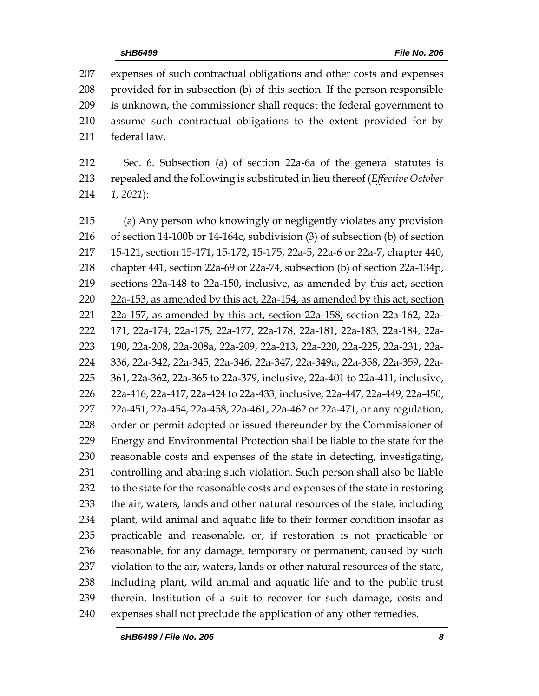expenses of such contractual obligations and other costs and expenses provided for in subsection (b) of this section. If the person responsible is unknown, the commissioner shall request the federal government to assume such contractual obligations to the extent provided for by federal law.

 Sec. 6. Subsection (a) of section 22a-6a of the general statutes is repealed and the following is substituted in lieu thereof (*Effective October 1, 2021*):

 (a) Any person who knowingly or negligently violates any provision of section 14-100b or 14-164c, subdivision (3) of subsection (b) of section 15-121, section 15-171, 15-172, 15-175, 22a-5, 22a-6 or 22a-7, chapter 440, chapter 441, section 22a-69 or 22a-74, subsection (b) of section 22a-134p, sections 22a-148 to 22a-150, inclusive, as amended by this act, section 22a-153, as amended by this act, 22a-154, as amended by this act, section 22a-157, as amended by this act, section 22a-158, section 22a-162, 22a- 171, 22a-174, 22a-175, 22a-177, 22a-178, 22a-181, 22a-183, 22a-184, 22a- 190, 22a-208, 22a-208a, 22a-209, 22a-213, 22a-220, 22a-225, 22a-231, 22a- 336, 22a-342, 22a-345, 22a-346, 22a-347, 22a-349a, 22a-358, 22a-359, 22a- 361, 22a-362, 22a-365 to 22a-379, inclusive, 22a-401 to 22a-411, inclusive, 22a-416, 22a-417, 22a-424 to 22a-433, inclusive, 22a-447, 22a-449, 22a-450, 22a-451, 22a-454, 22a-458, 22a-461, 22a-462 or 22a-471, or any regulation, order or permit adopted or issued thereunder by the Commissioner of Energy and Environmental Protection shall be liable to the state for the reasonable costs and expenses of the state in detecting, investigating, controlling and abating such violation. Such person shall also be liable to the state for the reasonable costs and expenses of the state in restoring the air, waters, lands and other natural resources of the state, including plant, wild animal and aquatic life to their former condition insofar as practicable and reasonable, or, if restoration is not practicable or reasonable, for any damage, temporary or permanent, caused by such 237 violation to the air, waters, lands or other natural resources of the state, including plant, wild animal and aquatic life and to the public trust therein. Institution of a suit to recover for such damage, costs and expenses shall not preclude the application of any other remedies.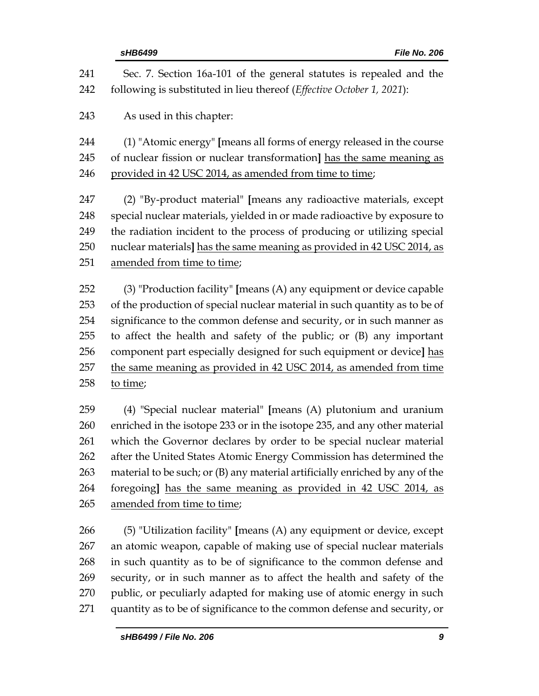| 241 | Sec. 7. Section 16a-101 of the general statutes is repealed and the          |
|-----|------------------------------------------------------------------------------|
| 242 | following is substituted in lieu thereof (Effective October 1, 2021):        |
| 243 | As used in this chapter:                                                     |
| 244 | (1) "Atomic energy" [means all forms of energy released in the course        |
| 245 | of nuclear fission or nuclear transformation] has the same meaning as        |
| 246 | provided in 42 USC 2014, as amended from time to time;                       |
| 247 | (2) "By-product material" [means any radioactive materials, except           |
| 248 | special nuclear materials, yielded in or made radioactive by exposure to     |
| 249 | the radiation incident to the process of producing or utilizing special      |
| 250 | nuclear materials] has the same meaning as provided in 42 USC 2014, as       |
| 251 | amended from time to time;                                                   |
| 252 | (3) "Production facility" [means (A) any equipment or device capable         |
| 253 | of the production of special nuclear material in such quantity as to be of   |
| 254 | significance to the common defense and security, or in such manner as        |
| 255 | to affect the health and safety of the public; or (B) any important          |
| 256 | component part especially designed for such equipment or device] has         |
| 257 | the same meaning as provided in 42 USC 2014, as amended from time            |
| 258 | to time;                                                                     |
| 259 | (4) "Special nuclear material" [means (A) plutonium and uranium              |
| 260 | enriched in the isotope 233 or in the isotope 235, and any other material    |
| 261 | which the Governor declares by order to be special nuclear material          |
| 262 | after the United States Atomic Energy Commission has determined the          |
| 263 | material to be such; or (B) any material artificially enriched by any of the |
| 264 | foregoing] has the same meaning as provided in 42 USC 2014, as               |
| 265 | amended from time to time;                                                   |
| 266 | (5) "Utilization facility" [means (A) any equipment or device, except        |
| 267 | an atomic weapon, capable of making use of special nuclear materials         |
| 268 | in such quantity as to be of significance to the common defense and          |
| 269 | security, or in such manner as to affect the health and safety of the        |
| 270 | public, or peculiarly adapted for making use of atomic energy in such        |
| 271 | quantity as to be of significance to the common defense and security, or     |
|     | sHB6499 / File No. 206<br>9                                                  |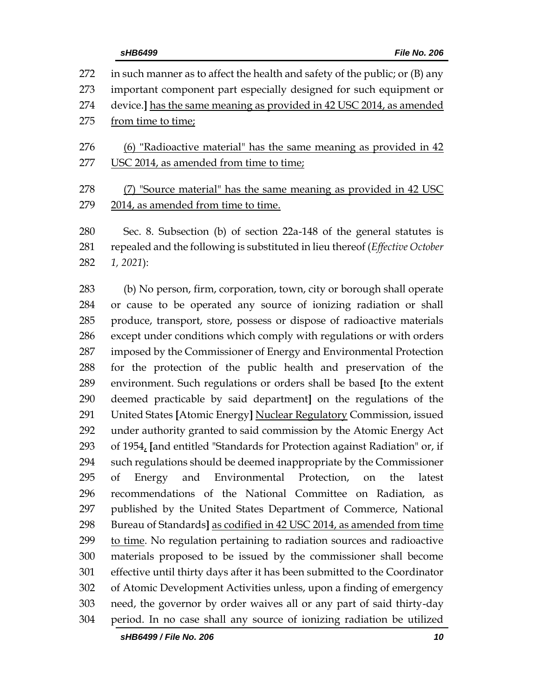| 272 | in such manner as to affect the health and safety of the public; or (B) any  |  |  |  |  |
|-----|------------------------------------------------------------------------------|--|--|--|--|
| 273 | important component part especially designed for such equipment or           |  |  |  |  |
| 274 | device.] has the same meaning as provided in 42 USC 2014, as amended         |  |  |  |  |
| 275 | from time to time;                                                           |  |  |  |  |
|     |                                                                              |  |  |  |  |
| 276 | (6) "Radioactive material" has the same meaning as provided in 42            |  |  |  |  |
| 277 | USC 2014, as amended from time to time;                                      |  |  |  |  |
| 278 | (7) "Source material" has the same meaning as provided in 42 USC             |  |  |  |  |
| 279 | 2014, as amended from time to time.                                          |  |  |  |  |
| 280 | Sec. 8. Subsection (b) of section 22a-148 of the general statutes is         |  |  |  |  |
|     |                                                                              |  |  |  |  |
| 281 | repealed and the following is substituted in lieu thereof (Effective October |  |  |  |  |

*1, 2021*):

 (b) No person, firm, corporation, town, city or borough shall operate or cause to be operated any source of ionizing radiation or shall produce, transport, store, possess or dispose of radioactive materials except under conditions which comply with regulations or with orders imposed by the Commissioner of Energy and Environmental Protection for the protection of the public health and preservation of the environment. Such regulations or orders shall be based **[**to the extent deemed practicable by said department**]** on the regulations of the United States **[**Atomic Energy**]** Nuclear Regulatory Commission, issued under authority granted to said commission by the Atomic Energy Act of 1954, **[**and entitled "Standards for Protection against Radiation" or, if such regulations should be deemed inappropriate by the Commissioner of Energy and Environmental Protection, on the latest recommendations of the National Committee on Radiation, as published by the United States Department of Commerce, National Bureau of Standards**]** as codified in 42 USC 2014, as amended from time 299 to time. No regulation pertaining to radiation sources and radioactive materials proposed to be issued by the commissioner shall become effective until thirty days after it has been submitted to the Coordinator of Atomic Development Activities unless, upon a finding of emergency need, the governor by order waives all or any part of said thirty-day period. In no case shall any source of ionizing radiation be utilized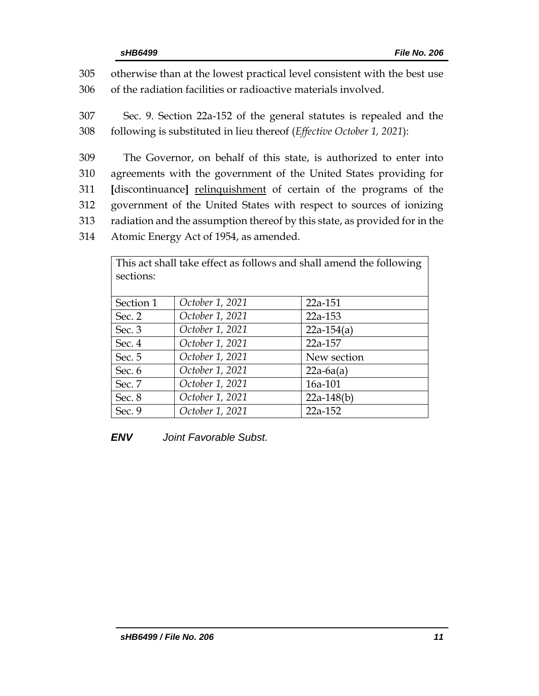305 otherwise than at the lowest practical level consistent with the best use 306 of the radiation facilities or radioactive materials involved.

307 Sec. 9. Section 22a-152 of the general statutes is repealed and the 308 following is substituted in lieu thereof (*Effective October 1, 2021*):

 The Governor, on behalf of this state, is authorized to enter into agreements with the government of the United States providing for **[**discontinuance**]** relinquishment of certain of the programs of the government of the United States with respect to sources of ionizing radiation and the assumption thereof by this state, as provided for in the Atomic Energy Act of 1954, as amended.

| This act shall take effect as follows and shall amend the following |                 |              |  |  |  |  |  |
|---------------------------------------------------------------------|-----------------|--------------|--|--|--|--|--|
| sections:                                                           |                 |              |  |  |  |  |  |
|                                                                     |                 |              |  |  |  |  |  |
| Section 1                                                           | October 1, 2021 | 22a-151      |  |  |  |  |  |
| Sec. $2$                                                            | October 1, 2021 | 22a-153      |  |  |  |  |  |
| Sec. $3$                                                            | October 1, 2021 | $22a-154(a)$ |  |  |  |  |  |
| Sec. 4                                                              | October 1, 2021 | 22a-157      |  |  |  |  |  |
| Sec. 5                                                              | October 1, 2021 | New section  |  |  |  |  |  |
| Sec. $6$                                                            | October 1, 2021 | $22a-6a(a)$  |  |  |  |  |  |
| Sec. 7                                                              | October 1, 2021 | 16a-101      |  |  |  |  |  |
| Sec. 8                                                              | October 1, 2021 | $22a-148(b)$ |  |  |  |  |  |
| Sec. $9$                                                            | October 1, 2021 | 22a-152      |  |  |  |  |  |

*ENV Joint Favorable Subst.*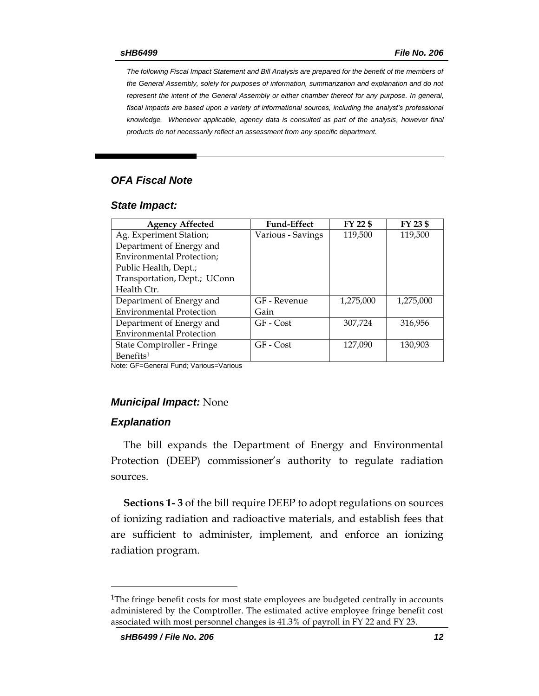*The following Fiscal Impact Statement and Bill Analysis are prepared for the benefit of the members of the General Assembly, solely for purposes of information, summarization and explanation and do not represent the intent of the General Assembly or either chamber thereof for any purpose. In general,*  fiscal impacts are based upon a variety of informational sources, including the analyst's professional *knowledge. Whenever applicable, agency data is consulted as part of the analysis, however final products do not necessarily reflect an assessment from any specific department.*

## *OFA Fiscal Note*

### *State Impact:*

| <b>Fund-Effect</b> | FY 22 \$  | FY 23 \$  |
|--------------------|-----------|-----------|
| Various - Savings  | 119,500   | 119,500   |
|                    |           |           |
|                    |           |           |
|                    |           |           |
|                    |           |           |
|                    |           |           |
| GF - Revenue       | 1,275,000 | 1,275,000 |
| Gain               |           |           |
| GF - Cost          | 307,724   | 316.956   |
|                    |           |           |
| GF - Cost          | 127,090   | 130.903   |
|                    |           |           |
|                    |           |           |

Note: GF=General Fund; Various=Various

## *Municipal Impact:* None

### *Explanation*

 $\overline{a}$ 

The bill expands the Department of Energy and Environmental Protection (DEEP) commissioner's authority to regulate radiation sources.

**Sections 1- 3** of the bill require DEEP to adopt regulations on sources of ionizing radiation and radioactive materials, and establish fees that are sufficient to administer, implement, and enforce an ionizing radiation program.

<sup>&</sup>lt;sup>1</sup>The fringe benefit costs for most state employees are budgeted centrally in accounts administered by the Comptroller. The estimated active employee fringe benefit cost associated with most personnel changes is 41.3% of payroll in FY 22 and FY 23.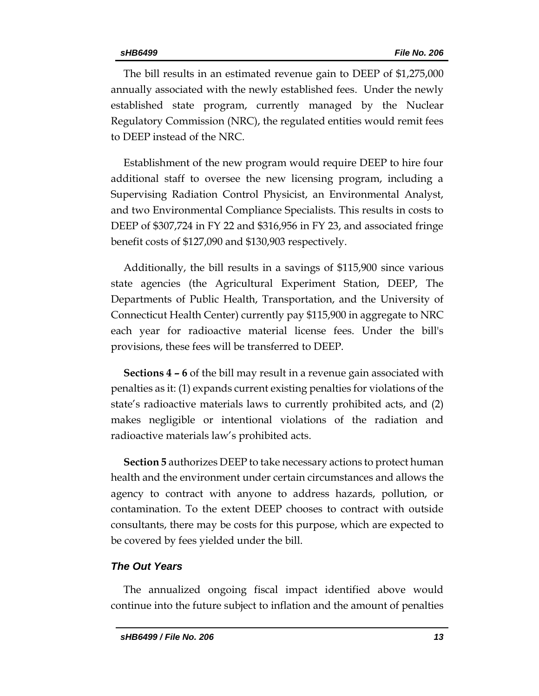The bill results in an estimated revenue gain to DEEP of \$1,275,000 annually associated with the newly established fees. Under the newly established state program, currently managed by the Nuclear Regulatory Commission (NRC), the regulated entities would remit fees to DEEP instead of the NRC.

Establishment of the new program would require DEEP to hire four additional staff to oversee the new licensing program, including a Supervising Radiation Control Physicist, an Environmental Analyst, and two Environmental Compliance Specialists. This results in costs to DEEP of \$307,724 in FY 22 and \$316,956 in FY 23, and associated fringe benefit costs of \$127,090 and \$130,903 respectively.

Additionally, the bill results in a savings of \$115,900 since various state agencies (the Agricultural Experiment Station, DEEP, The Departments of Public Health, Transportation, and the University of Connecticut Health Center) currently pay \$115,900 in aggregate to NRC each year for radioactive material license fees. Under the bill's provisions, these fees will be transferred to DEEP.

**Sections 4 – 6** of the bill may result in a revenue gain associated with penalties as it: (1) expands current existing penalties for violations of the state's radioactive materials laws to currently prohibited acts, and (2) makes negligible or intentional violations of the radiation and radioactive materials law's prohibited acts.

**Section 5** authorizes DEEP to take necessary actions to protect human health and the environment under certain circumstances and allows the agency to contract with anyone to address hazards, pollution, or contamination. To the extent DEEP chooses to contract with outside consultants, there may be costs for this purpose, which are expected to be covered by fees yielded under the bill.

## *The Out Years*

The annualized ongoing fiscal impact identified above would continue into the future subject to inflation and the amount of penalties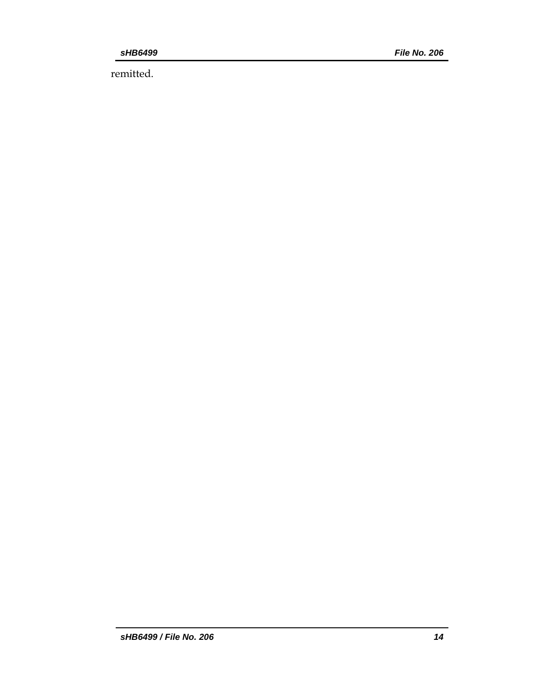remitted.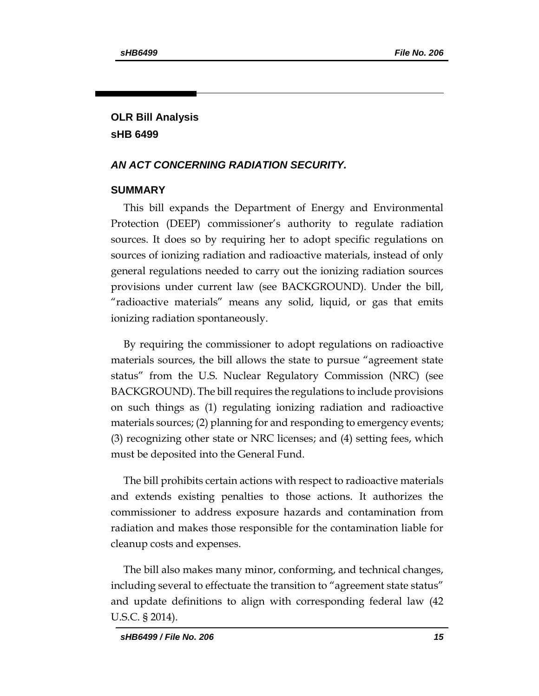# **OLR Bill Analysis sHB 6499**

## *AN ACT CONCERNING RADIATION SECURITY.*

## **SUMMARY**

This bill expands the Department of Energy and Environmental Protection (DEEP) commissioner's authority to regulate radiation sources. It does so by requiring her to adopt specific regulations on sources of ionizing radiation and radioactive materials, instead of only general regulations needed to carry out the ionizing radiation sources provisions under current law (see BACKGROUND). Under the bill, "radioactive materials" means any solid, liquid, or gas that emits ionizing radiation spontaneously.

By requiring the commissioner to adopt regulations on radioactive materials sources, the bill allows the state to pursue "agreement state status" from the U.S. Nuclear Regulatory Commission (NRC) (see BACKGROUND). The bill requires the regulations to include provisions on such things as (1) regulating ionizing radiation and radioactive materials sources; (2) planning for and responding to emergency events; (3) recognizing other state or NRC licenses; and (4) setting fees, which must be deposited into the General Fund.

The bill prohibits certain actions with respect to radioactive materials and extends existing penalties to those actions. It authorizes the commissioner to address exposure hazards and contamination from radiation and makes those responsible for the contamination liable for cleanup costs and expenses.

The bill also makes many minor, conforming, and technical changes, including several to effectuate the transition to "agreement state status" and update definitions to align with corresponding federal law (42 U.S.C. § 2014).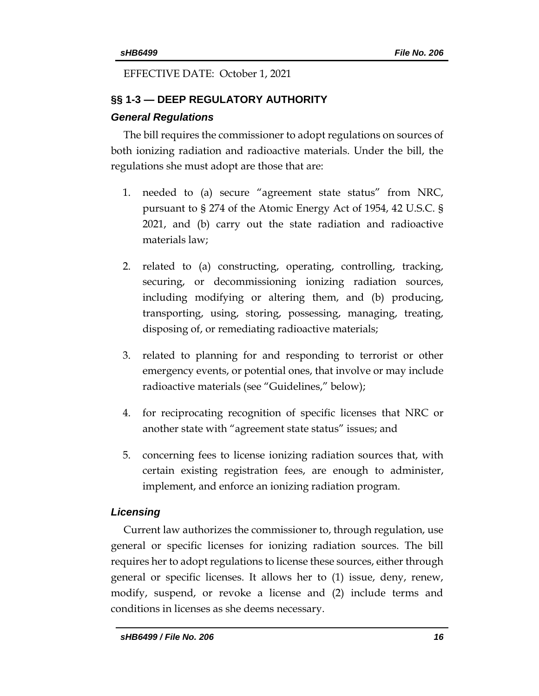# EFFECTIVE DATE: October 1, 2021

# **§§ 1-3 — DEEP REGULATORY AUTHORITY** *General Regulations*

The bill requires the commissioner to adopt regulations on sources of both ionizing radiation and radioactive materials. Under the bill, the regulations she must adopt are those that are:

- 1. needed to (a) secure "agreement state status" from NRC, pursuant to § 274 of the Atomic Energy Act of 1954, 42 U.S.C. § 2021, and (b) carry out the state radiation and radioactive materials law;
- 2. related to (a) constructing, operating, controlling, tracking, securing, or decommissioning ionizing radiation sources, including modifying or altering them, and (b) producing, transporting, using, storing, possessing, managing, treating, disposing of, or remediating radioactive materials;
- 3. related to planning for and responding to terrorist or other emergency events, or potential ones, that involve or may include radioactive materials (see "Guidelines," below);
- 4. for reciprocating recognition of specific licenses that NRC or another state with "agreement state status" issues; and
- 5. concerning fees to license ionizing radiation sources that, with certain existing registration fees, are enough to administer, implement, and enforce an ionizing radiation program.

# *Licensing*

Current law authorizes the commissioner to, through regulation, use general or specific licenses for ionizing radiation sources. The bill requires her to adopt regulations to license these sources, either through general or specific licenses. It allows her to (1) issue, deny, renew, modify, suspend, or revoke a license and (2) include terms and conditions in licenses as she deems necessary.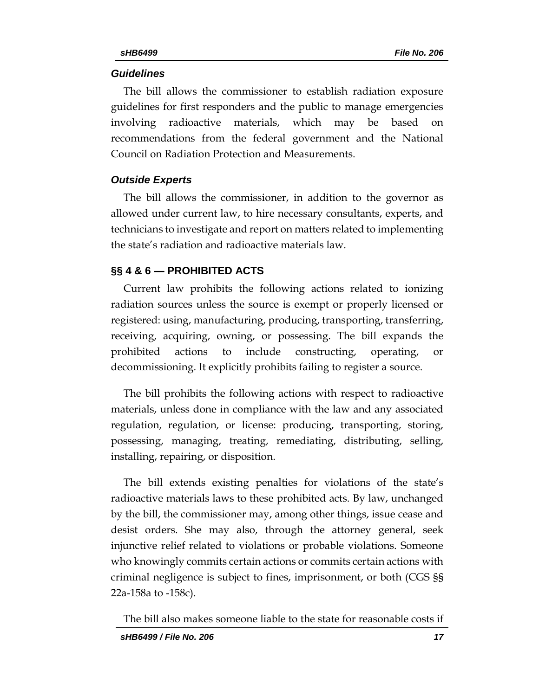## *Guidelines*

The bill allows the commissioner to establish radiation exposure guidelines for first responders and the public to manage emergencies involving radioactive materials, which may be based on recommendations from the federal government and the National Council on Radiation Protection and Measurements.

## *Outside Experts*

The bill allows the commissioner, in addition to the governor as allowed under current law, to hire necessary consultants, experts, and technicians to investigate and report on matters related to implementing the state's radiation and radioactive materials law.

# **§§ 4 & 6 — PROHIBITED ACTS**

Current law prohibits the following actions related to ionizing radiation sources unless the source is exempt or properly licensed or registered: using, manufacturing, producing, transporting, transferring, receiving, acquiring, owning, or possessing. The bill expands the prohibited actions to include constructing, operating, or decommissioning. It explicitly prohibits failing to register a source.

The bill prohibits the following actions with respect to radioactive materials, unless done in compliance with the law and any associated regulation, regulation, or license: producing, transporting, storing, possessing, managing, treating, remediating, distributing, selling, installing, repairing, or disposition.

The bill extends existing penalties for violations of the state's radioactive materials laws to these prohibited acts. By law, unchanged by the bill, the commissioner may, among other things, issue cease and desist orders. She may also, through the attorney general, seek injunctive relief related to violations or probable violations. Someone who knowingly commits certain actions or commits certain actions with criminal negligence is subject to fines, imprisonment, or both (CGS §§ 22a-158a to -158c).

The bill also makes someone liable to the state for reasonable costs if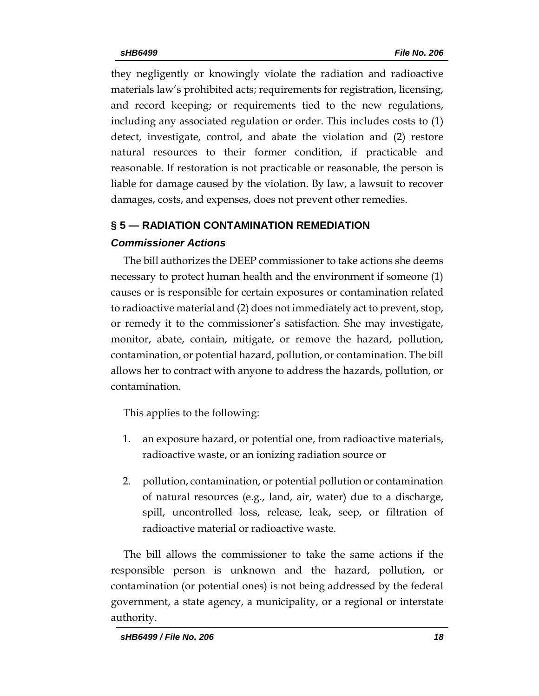they negligently or knowingly violate the radiation and radioactive materials law's prohibited acts; requirements for registration, licensing, and record keeping; or requirements tied to the new regulations, including any associated regulation or order. This includes costs to (1) detect, investigate, control, and abate the violation and (2) restore natural resources to their former condition, if practicable and reasonable. If restoration is not practicable or reasonable, the person is liable for damage caused by the violation. By law, a lawsuit to recover damages, costs, and expenses, does not prevent other remedies.

# **§ 5 — RADIATION CONTAMINATION REMEDIATION**

# *Commissioner Actions*

The bill authorizes the DEEP commissioner to take actions she deems necessary to protect human health and the environment if someone (1) causes or is responsible for certain exposures or contamination related to radioactive material and (2) does not immediately act to prevent, stop, or remedy it to the commissioner's satisfaction. She may investigate, monitor, abate, contain, mitigate, or remove the hazard, pollution, contamination, or potential hazard, pollution, or contamination. The bill allows her to contract with anyone to address the hazards, pollution, or contamination.

This applies to the following:

- 1. an exposure hazard, or potential one, from radioactive materials, radioactive waste, or an ionizing radiation source or
- 2. pollution, contamination, or potential pollution or contamination of natural resources (e.g., land, air, water) due to a discharge, spill, uncontrolled loss, release, leak, seep, or filtration of radioactive material or radioactive waste.

The bill allows the commissioner to take the same actions if the responsible person is unknown and the hazard, pollution, or contamination (or potential ones) is not being addressed by the federal government, a state agency, a municipality, or a regional or interstate authority.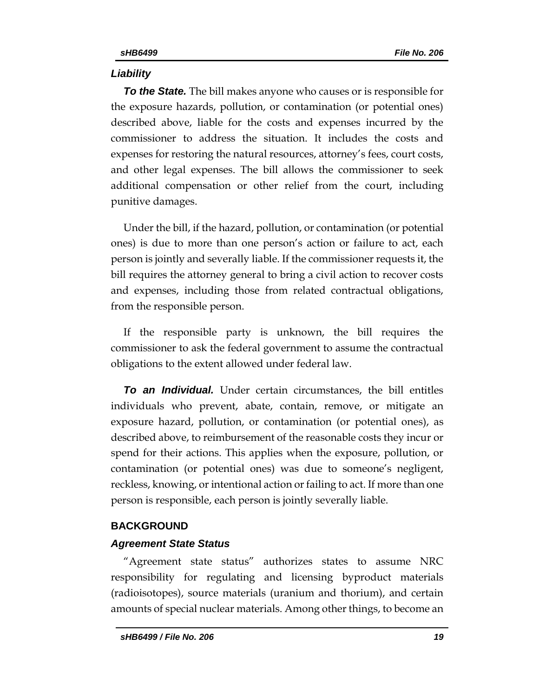## *Liability*

*To the State.* The bill makes anyone who causes or is responsible for the exposure hazards, pollution, or contamination (or potential ones) described above, liable for the costs and expenses incurred by the commissioner to address the situation. It includes the costs and expenses for restoring the natural resources, attorney's fees, court costs, and other legal expenses. The bill allows the commissioner to seek additional compensation or other relief from the court, including punitive damages.

Under the bill, if the hazard, pollution, or contamination (or potential ones) is due to more than one person's action or failure to act, each person is jointly and severally liable. If the commissioner requests it, the bill requires the attorney general to bring a civil action to recover costs and expenses, including those from related contractual obligations, from the responsible person.

If the responsible party is unknown, the bill requires the commissioner to ask the federal government to assume the contractual obligations to the extent allowed under federal law.

*To an Individual.* Under certain circumstances, the bill entitles individuals who prevent, abate, contain, remove, or mitigate an exposure hazard, pollution, or contamination (or potential ones), as described above, to reimbursement of the reasonable costs they incur or spend for their actions. This applies when the exposure, pollution, or contamination (or potential ones) was due to someone's negligent, reckless, knowing, or intentional action or failing to act. If more than one person is responsible, each person is jointly severally liable.

## **BACKGROUND**

## *Agreement State Status*

"Agreement state status" authorizes states to assume NRC responsibility for regulating and licensing byproduct materials (radioisotopes), source materials (uranium and thorium), and certain amounts of special nuclear materials. Among other things, to become an